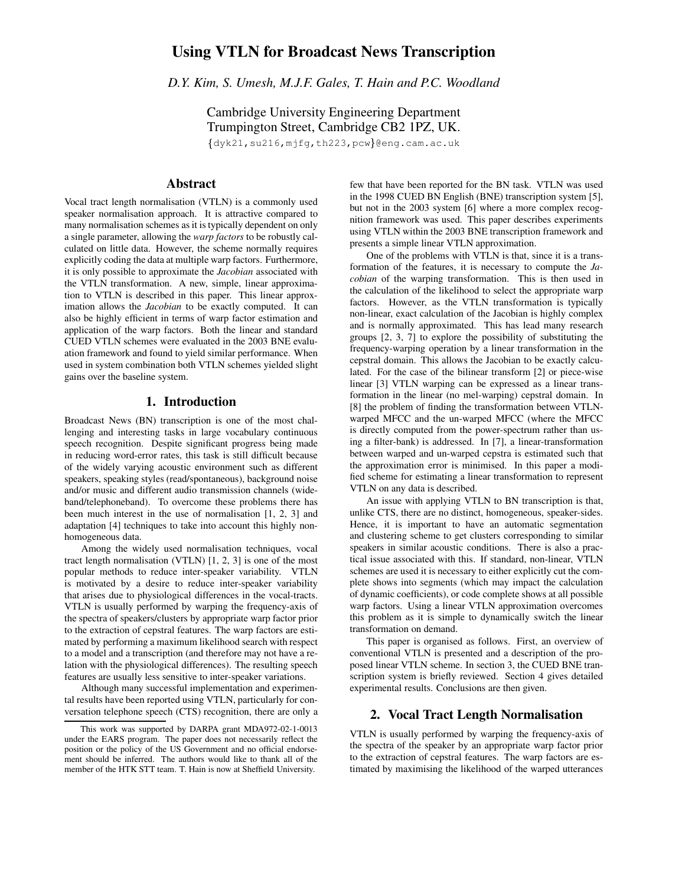# **Using VTLN for Broadcast News Transcription**

*D.Y. Kim, S. Umesh, M.J.F. Gales, T. Hain and P.C. Woodland*

Cambridge University Engineering Department Trumpington Street, Cambridge CB2 1PZ, UK.  $\{$ dyk21,su216,mjfg,th223,pcw $\}$ @eng.cam.ac.uk

## **Abstract**

Vocal tract length normalisation (VTLN) is a commonly used speaker normalisation approach. It is attractive compared to many normalisation schemes as it is typically dependent on only a single parameter, allowing the *warp factors* to be robustly calculated on little data. However, the scheme normally requires explicitly coding the data at multiple warp factors. Furthermore, it is only possible to approximate the *Jacobian* associated with the VTLN transformation. A new, simple, linear approximation to VTLN is described in this paper. This linear approximation allows the *Jacobian* to be exactly computed. It can also be highly efficient in terms of warp factor estimation and application of the warp factors. Both the linear and standard CUED VTLN schemes were evaluated in the 2003 BNE evaluation framework and found to yield similar performance. When used in system combination both VTLN schemes yielded slight gains over the baseline system.

#### **1. Introduction**

Broadcast News (BN) transcription is one of the most challenging and interesting tasks in large vocabulary continuous speech recognition. Despite significant progress being made in reducing word-error rates, this task is still difficult because of the widely varying acoustic environment such as different speakers, speaking styles (read/spontaneous), background noise and/or music and different audio transmission channels (wideband/telephoneband). To overcome these problems there has been much interest in the use of normalisation [1, 2, 3] and adaptation [4] techniques to take into account this highly nonhomogeneous data.

Among the widely used normalisation techniques, vocal tract length normalisation (VTLN) [1, 2, 3] is one of the most popular methods to reduce inter-speaker variability. VTLN is motivated by a desire to reduce inter-speaker variability that arises due to physiological differences in the vocal-tracts. VTLN is usually performed by warping the frequency-axis of the spectra of speakers/clusters by appropriate warp factor prior to the extraction of cepstral features. The warp factors are estimated by performing a maximum likelihood search with respect to a model and a transcription (and therefore may not have a relation with the physiological differences). The resulting speech features are usually less sensitive to inter-speaker variations.

Although many successful implementation and experimental results have been reported using VTLN, particularly for conversation telephone speech (CTS) recognition, there are only a few that have been reported for the BN task. VTLN was used in the 1998 CUED BN English (BNE) transcription system [5], but not in the 2003 system [6] where a more complex recognition framework was used. This paper describes experiments using VTLN within the 2003 BNE transcription framework and presents a simple linear VTLN approximation.

One of the problems with VTLN is that, since it is a transformation of the features, it is necessary to compute the *Jacobian* of the warping transformation. This is then used in the calculation of the likelihood to select the appropriate warp factors. However, as the VTLN transformation is typically non-linear, exact calculation of the Jacobian is highly complex and is normally approximated. This has lead many research groups [2, 3, 7] to explore the possibility of substituting the frequency-warping operation by a linear transformation in the cepstral domain. This allows the Jacobian to be exactly calculated. For the case of the bilinear transform [2] or piece-wise linear [3] VTLN warping can be expressed as a linear transformation in the linear (no mel-warping) cepstral domain. In [8] the problem of finding the transformation between VTLNwarped MFCC and the un-warped MFCC (where the MFCC is directly computed from the power-spectrum rather than using a filter-bank) is addressed. In [7], a linear-transformation between warped and un-warped cepstra is estimated such that the approximation error is minimised. In this paper a modified scheme for estimating a linear transformation to represent VTLN on any data is described.

An issue with applying VTLN to BN transcription is that, unlike CTS, there are no distinct, homogeneous, speaker-sides. Hence, it is important to have an automatic segmentation and clustering scheme to get clusters corresponding to similar speakers in similar acoustic conditions. There is also a practical issue associated with this. If standard, non-linear, VTLN schemes are used it is necessary to either explicitly cut the complete shows into segments (which may impact the calculation of dynamic coefficients), or code complete shows at all possible warp factors. Using a linear VTLN approximation overcomes this problem as it is simple to dynamically switch the linear transformation on demand.

This paper is organised as follows. First, an overview of conventional VTLN is presented and a description of the proposed linear VTLN scheme. In section 3, the CUED BNE transcription system is briefly reviewed. Section 4 gives detailed experimental results. Conclusions are then given.

#### **2. Vocal Tract Length Normalisation**

VTLN is usually performed by warping the frequency-axis of the spectra of the speaker by an appropriate warp factor prior to the extraction of cepstral features. The warp factors are estimated by maximising the likelihood of the warped utterances

This work was supported by DARPA grant MDA972-02-1-0013 under the EARS program. The paper does not necessarily reflect the position or the policy of the US Government and no official endorsement should be inferred. The authors would like to thank all of the member of the HTK STT team. T. Hain is now at Sheffield University.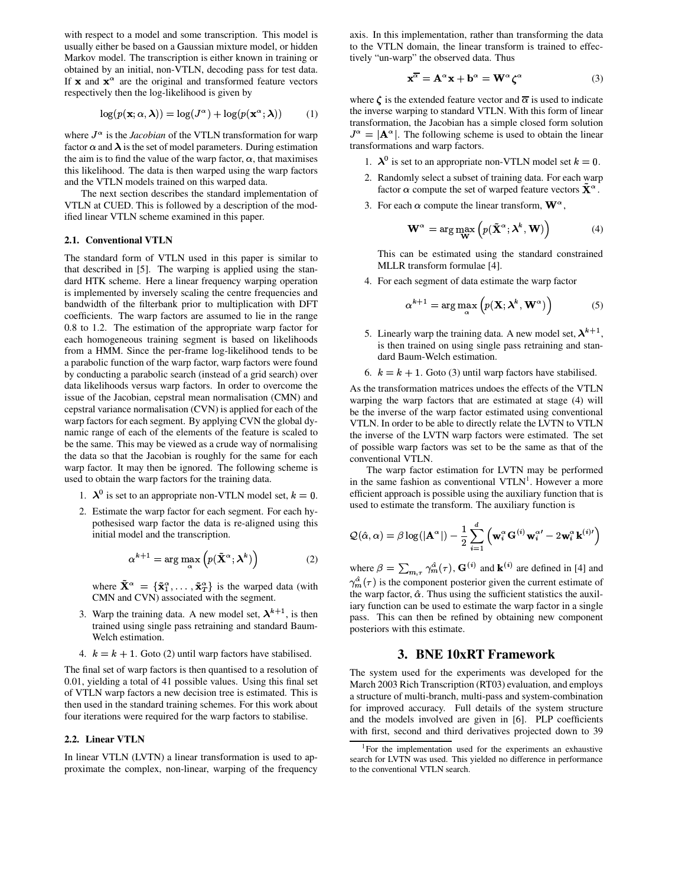with respect to a model and some transcription. This model is usually either be based on a Gaussian mixture model, or hidden Markov model. The transcription is either known in training or obtained by an initial, non-VTLN, decoding pass for test data. If  $\mathbf x$  and  $\mathbf x^{\alpha}$  are the original and transformed feature vectors respectively then the log-likelihood is given by

$$
\log(p(\mathbf{x}; \alpha, \boldsymbol{\lambda})) = \log(J^{\alpha}) + \log(p(\mathbf{x}^{\alpha}; \boldsymbol{\lambda})) \quad (1)
$$

where  $J^{\alpha}$  is the *Jacobian* of the VTLN transformation for warp factor  $\alpha$  and  $\lambda$  is the set of model parameters. During estimation the aim is to find the value of the warp factor,  $\alpha$ , that maximises this likelihood. The data is then warped using the warp factors and the VTLN models trained on this warped data.

The next section describes the standard implementation of VTLN at CUED. This is followed by a description of the modified linear VTLN scheme examined in this paper.

#### **2.1. Conventional VTLN**

The standard form of VTLN used in this paper is similar to that described in [5]. The warping is applied using the standard HTK scheme. Here a linear frequency warping operation is implemented by inversely scaling the centre frequencies and bandwidth of the filterbank prior to multiplication with DFT coefficients. The warp factors are assumed to lie in the range 0.8 to 1.2. The estimation of the appropriate warp factor for each homogeneous training segment is based on likelihoods from a HMM. Since the per-frame log-likelihood tends to be a parabolic function of the warp factor, warp factors were found by conducting a parabolic search (instead of a grid search) over data likelihoods versus warp factors. In order to overcome the issue of the Jacobian, cepstral mean normalisation (CMN) and cepstral variance normalisation (CVN) is applied for each of the warp factors for each segment. By applying CVN the global dynamic range of each of the elements of the feature is scaled to be the same. This may be viewed as a crude way of normalising the data so that the Jacobian is roughly for the same for each warp factor. It may then be ignored. The following scheme is used to obtain the warp factors for the training data.

- 1.  $\lambda^0$  is set to an appropriate non-VTLN model set,  $k=0$ .
- 2. Estimate the warp factor for each segment. For each hypothesised warp factor the data is re-aligned using this initial model and the transcription.

$$
\alpha^{k+1} = \arg \max_{\alpha} \left( p(\tilde{\mathbf{X}}^{\alpha}; \boldsymbol{\lambda}^{k}) \right)
$$
 (2)

where  $X^{\alpha} = {\{\tilde{\mathbf{x}}_1^{\alpha}, \dots, \tilde{\mathbf{x}}_T^{\alpha}\}}$  is the warped data (with CMN and CVN) associated with the segment.

- 3. Warp the training data. A new model set,  $\lambda^{k+1}$ , is then trained using single pass retraining and standard Baum-Welch estimation.
- 4.  $k = k + 1$ . Goto (2) until warp factors have stabilised.

The final set of warp factors is then quantised to a resolution of 0.01, yielding a total of 41 possible values. Using this final set of VTLN warp factors a new decision tree is estimated. This is then used in the standard training schemes. For this work about four iterations were required for the warp factors to stabilise.

#### **2.2. Linear VTLN**

In linear VTLN (LVTN) a linear transformation is used to approximate the complex, non-linear, warping of the frequency axis. In this implementation, rather than transforming the data to the VTLN domain, the linear transform is trained to effectively "un-warp" the observed data. Thus

$$
\mathbf{x}^{\overline{\alpha}} = \mathbf{A}^{\alpha} \mathbf{x} + \mathbf{b}^{\alpha} = \mathbf{W}^{\alpha} \zeta^{\alpha}
$$
 (3)

where  $\zeta$  is the extended feature vector and  $\overline{\alpha}$  is used to indicate the inverse warping to standard VTLN. With this form of linear transformation, the Jacobian has a simple closed form solution  $J^{\alpha} = |\mathbf{A}^{\alpha}|$ . The following scheme is used to obtain the linear transformations and warp factors.

- 1.  $\lambda^0$  is set to an appropriate non-VTLN model set  $k=0$ .
- 2. Randomly select a subset of training data. For each warp factor  $\alpha$  compute the set of warped feature vectors  $\tilde{\mathbf{X}}^{\alpha}$ .
- 3. For each  $\alpha$  compute the linear transform,  $\mathbf{W}^{\alpha}$ ,

$$
\mathbf{W}^{\alpha} = \arg \max_{\mathbf{W}} \left( p(\tilde{\mathbf{X}}^{\alpha}; \boldsymbol{\lambda}^{k}, \mathbf{W}) \right)
$$
(4)

This can be estimated using the standard constrained MLLR transform formulae [4].

4. For each segment of data estimate the warp factor

$$
\alpha^{k+1} = \arg\max_{\alpha} \left( p(\mathbf{X}; \boldsymbol{\lambda}^k, \mathbf{W}^{\alpha}) \right)
$$
 (5)

5. Linearly warp the training data. A new model set,  $\lambda^{k+1}$ , is then trained on using single pass retraining and standard Baum-Welch estimation.

6.  $k = k + 1$ . Goto (3) until warp factors have stabilised.

As the transformation matrices undoes the effects of the VTLN warping the warp factors that are estimated at stage (4) will be the inverse of the warp factor estimated using conventional VTLN. In order to be able to directly relate the LVTN to VTLN the inverse of the LVTN warp factors were estimated. The set of possible warp factors was set to be the same as that of the conventional VTLN.

The warp factor estimation for LVTN may be performed in the same fashion as conventional  $VTLN<sup>1</sup>$ . However a more efficient approach is possible using the auxiliary function that is used to estimate the transform. The auxiliary function is

$$
\mathcal{Q}(\hat{\alpha}, \alpha) = \beta \log(|\mathbf{A}^{\alpha}|) - \frac{1}{2} \sum_{i=1}^{d} \left(\mathbf{w}_{i}^{\alpha} \mathbf{G}^{(i)} \mathbf{w}_{i}^{\alpha t} - 2 \mathbf{w}_{i}^{\alpha} \mathbf{k}^{(i)t}\right)
$$

where  $\beta = \sum_{m,\tau} \gamma_m^{\hat{\alpha}}(\tau)$ ,  $\mathbf{G}^{(i)}$  and  $\mathbf{k}^{(i)}$  are defined in [4] and  $\gamma_m^{\alpha}(\tau)$  is the component posterior given the current estimate of the warp factor,  $\hat{\alpha}$ . Thus using the sufficient statistics the auxiliary function can be used to estimate the warp factor in a single pass. This can then be refined by obtaining new component posteriors with this estimate.

## **3. BNE 10xRT Framework**

The system used for the experiments was developed for the March 2003 Rich Transcription (RT03) evaluation, and employs a structure of multi-branch, multi-pass and system-combination for improved accuracy. Full details of the system structure and the models involved are given in [6]. PLP coefficients with first, second and third derivatives projected down to 39

<sup>&</sup>lt;sup>1</sup>For the implementation used for the experiments an exhaustive search for LVTN was used. This yielded no difference in performance to the conventional VTLN search.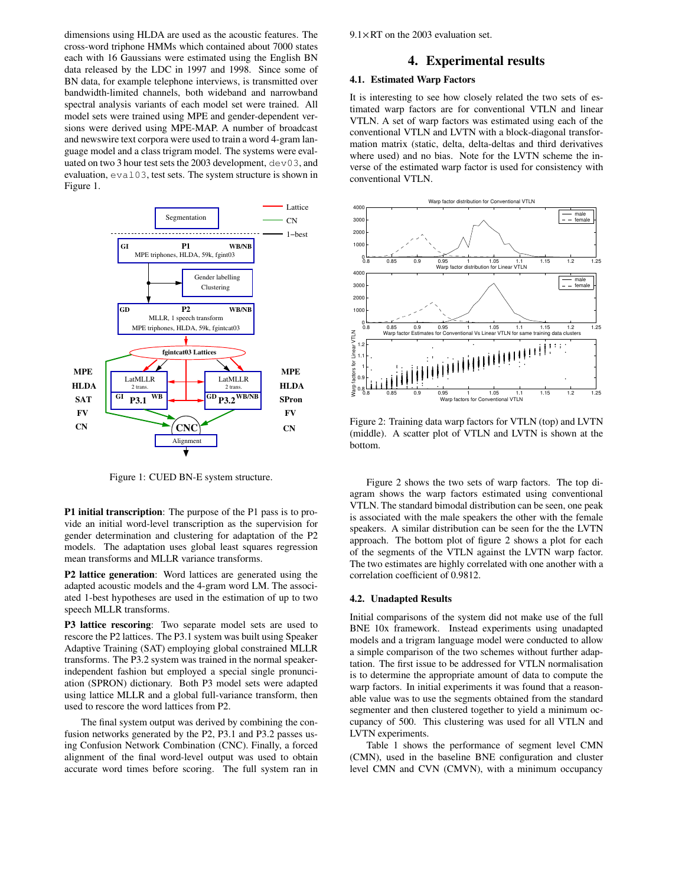dimensions using HLDA are used as the acoustic features. The cross-word triphone HMMs which contained about 7000 states each with 16 Gaussians were estimated using the English BN data released by the LDC in 1997 and 1998. Since some of BN data, for example telephone interviews, is transmitted over bandwidth-limited channels, both wideband and narrowband spectral analysis variants of each model set were trained. All model sets were trained using MPE and gender-dependent versions were derived using MPE-MAP. A number of broadcast and newswire text corpora were used to train a word 4-gram language model and a class trigram model. The systems were evaluated on two 3 hour test sets the 2003 development,  $dev03$ , and evaluation, eval03, test sets. The system structure is shown in Figure 1.



Figure 1: CUED BN-E system structure.

**P1 initial transcription**: The purpose of the P1 pass is to provide an initial word-level transcription as the supervision for gender determination and clustering for adaptation of the P2 models. The adaptation uses global least squares regression mean transforms and MLLR variance transforms.

**P2 lattice generation**: Word lattices are generated using the adapted acoustic models and the 4-gram word LM. The associated 1-best hypotheses are used in the estimation of up to two speech MLLR transforms.

**P3 lattice rescoring**: Two separate model sets are used to rescore the P2 lattices. The P3.1 system was built using Speaker Adaptive Training (SAT) employing global constrained MLLR transforms. The P3.2 system was trained in the normal speakerindependent fashion but employed a special single pronunciation (SPRON) dictionary. Both P3 model sets were adapted using lattice MLLR and a global full-variance transform, then used to rescore the word lattices from P2.

The final system output was derived by combining the confusion networks generated by the P2, P3.1 and P3.2 passes using Confusion Network Combination (CNC). Finally, a forced alignment of the final word-level output was used to obtain accurate word times before scoring. The full system ran in  $9.1 \times RT$  on the 2003 evaluation set.

#### **4. Experimental results**

### **4.1. Estimated Warp Factors**

It is interesting to see how closely related the two sets of estimated warp factors are for conventional VTLN and linear VTLN. A set of warp factors was estimated using each of the conventional VTLN and LVTN with a block-diagonal transformation matrix (static, delta, delta-deltas and third derivatives where used) and no bias. Note for the LVTN scheme the inverse of the estimated warp factor is used for consistency with conventional VTLN.



Figure 2: Training data warp factors for VTLN (top) and LVTN (middle). A scatter plot of VTLN and LVTN is shown at the bottom.

Figure 2 shows the two sets of warp factors. The top diagram shows the warp factors estimated using conventional VTLN. The standard bimodal distribution can be seen, one peak is associated with the male speakers the other with the female speakers. A similar distribution can be seen for the the LVTN approach. The bottom plot of figure 2 shows a plot for each of the segments of the VTLN against the LVTN warp factor. The two estimates are highly correlated with one another with a correlation coefficient of 0.9812.

#### **4.2. Unadapted Results**

Initial comparisons of the system did not make use of the full BNE 10x framework. Instead experiments using unadapted models and a trigram language model were conducted to allow a simple comparison of the two schemes without further adaptation. The first issue to be addressed for VTLN normalisation is to determine the appropriate amount of data to compute the warp factors. In initial experiments it was found that a reasonable value was to use the segments obtained from the standard segmenter and then clustered together to yield a minimum occupancy of 500. This clustering was used for all VTLN and LVTN experiments.

Table 1 shows the performance of segment level CMN (CMN), used in the baseline BNE configuration and cluster level CMN and CVN (CMVN), with a minimum occupancy